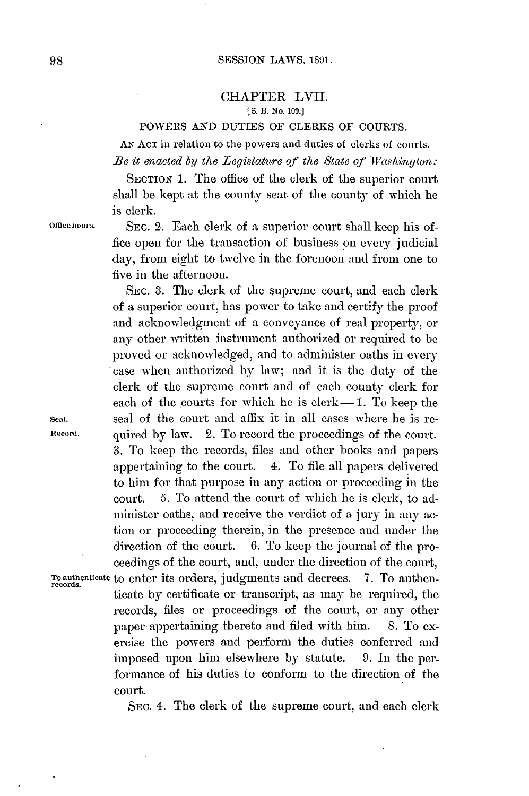## CHAPTER LVII. **(S.** *B.* **No. 1oo.]**

### POWERS **AND** DUTIES OF CLERKS OF **COURTS.**

**AN ACT** in relation to the powers and duties of clerks of courts. *Be* it *enacted by the Legislature of the State of Washington:*

SECTION 1. The office of the clerk of the superior court shall be kept at the county seat of the county of which he

is clerk.

**Offiee hours.** SEC. 2. Each clerk of **a** superior court shall keep his office open for the transaction of business on every judicial day, from eight to twelve in the forenoon and from one to five in the afternoon.

SEc. **3.** The clerk of the supreme court, and each clerk of a superior court, has power to take and certify the proof and acknowledgment of a conveyance of real property, or any other written instrument authorized or required to be proved or acknowledged, and to administer oaths in every case when authorized **by** law; and it is the duty of the clerk of the supreme court and of each county clerk for each of the courts for which he is  $\text{clerk}-1$ . To keep the **sea].** seal of the court and affix it in all cases where he is re-**Record.** quired **by** law. 2. To record the proceedings of the court. **3.** To keep the records, files and other books and papers appertaining to the court. 4. To file all papers delivered to him for that purpose in any action or proceeding in the court. **5.** To attend the court of which he is clerk, to administer oaths, and receive the verdict of a jury in any action or proceeding therein, in the presence and under the direction of the court. **6.** To keep the journal of the proceedings of the court, and, under the direction of the court, **To authenticate** to enter its orders, judgments and decrees. **7.** To authen- **records.** ticate **by** certificate or transcript, as may be required, the records, files or proceedings of the court, or any other paper appertaining thereto and filed with him. **8.** To exercise the powers and perform the duties conferred and imposed upon him elsewhere **by** statute. **9.** In the performance of his duties to conform to the direction of the court.

SEC. 4. The clerk of the supreme court, and each clerk

**98**